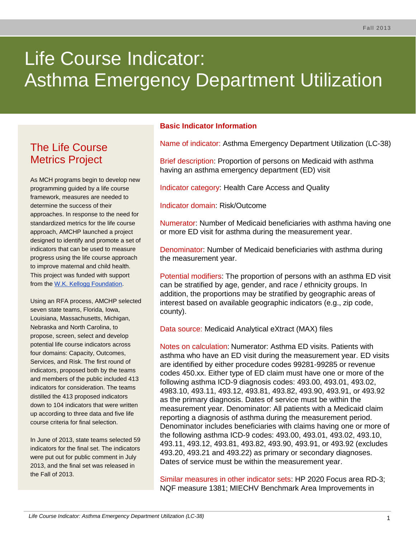# Life Course Indicator: Asthma Emergency Department Utilization

# The Life Course Metrics Project

As MCH programs begin to develop new programming guided by a life course framework, measures are needed to determine the success of their approaches. In response to the need for standardized metrics for the life course approach, AMCHP launched a project designed to identify and promote a set of indicators that can be used to measure progress using the life course approach to improve maternal and child health. This project was funded with support from the [W.K. Kellogg Foundation.](http://www.wkkf.org/)

Using an RFA process, AMCHP selected seven state teams, Florida, Iowa, Louisiana, Massachusetts, Michigan, Nebraska and North Carolina, to propose, screen, select and develop potential life course indicators across four domains: Capacity, Outcomes, Services, and Risk. The first round of indicators, proposed both by the teams and members of the public included 413 indicators for consideration. The teams distilled the 413 proposed indicators down to 104 indicators that were written up according to three data and five life course criteria for final selection.

In June of 2013, state teams selected 59 indicators for the final set. The indicators were put out for public comment in July 2013, and the final set was released in the Fall of 2013.

### **Basic Indicator Information**

Name of indicator: Asthma Emergency Department Utilization (LC-38)

Brief description: Proportion of persons on Medicaid with asthma having an asthma emergency department (ED) visit

Indicator category: Health Care Access and Quality

Indicator domain: Risk/Outcome

Numerator: Number of Medicaid beneficiaries with asthma having one or more ED visit for asthma during the measurement year.

Denominator: Number of Medicaid beneficiaries with asthma during the measurement year.

Potential modifiers: The proportion of persons with an asthma ED visit can be stratified by age, gender, and race / ethnicity groups. In addition, the proportions may be stratified by geographic areas of interest based on available geographic indicators (e.g., zip code, county).

Data source: Medicaid Analytical eXtract (MAX) files

Notes on calculation: Numerator: Asthma ED visits. Patients with asthma who have an ED visit during the measurement year. ED visits are identified by either procedure codes 99281-99285 or revenue codes 450.xx. Either type of ED claim must have one or more of the following asthma ICD-9 diagnosis codes: 493.00, 493.01, 493.02, 4983.10, 493.11, 493.12, 493.81, 493.82, 493.90, 493.91, or 493.92 as the primary diagnosis. Dates of service must be within the measurement year. Denominator: All patients with a Medicaid claim reporting a diagnosis of asthma during the measurement period. Denominator includes beneficiaries with claims having one or more of the following asthma ICD-9 codes: 493.00, 493.01, 493.02, 493.10, 493.11, 493.12, 493.81, 493.82, 493.90, 493.91, or 493.92 (excludes 493.20, 493.21 and 493.22) as primary or secondary diagnoses. Dates of service must be within the measurement year.

Similar measures in other indicator sets: HP 2020 Focus area RD-3; NQF measure 1381; MIECHV Benchmark Area Improvements in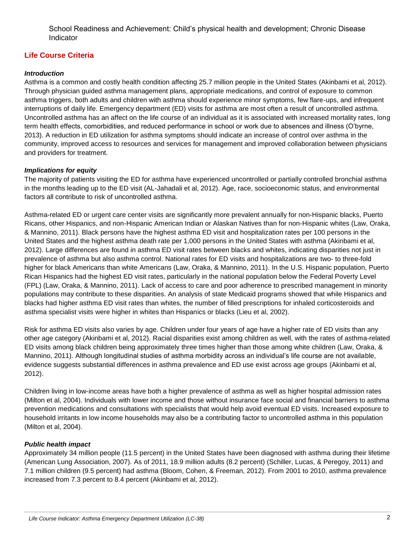School Readiness and Achievement: Child's physical health and development; Chronic Disease Indicator

# **Life Course Criteria**

#### *Introduction*

Asthma is a common and costly health condition affecting 25.7 million people in the United States (Akinbami et al, 2012). Through physician guided asthma management plans, appropriate medications, and control of exposure to common asthma triggers, both adults and children with asthma should experience minor symptoms, few flare-ups, and infrequent interruptions of daily life. Emergency department (ED) visits for asthma are most often a result of uncontrolled asthma. Uncontrolled asthma has an affect on the life course of an individual as it is associated with increased mortality rates, long term health effects, comorbidities, and reduced performance in school or work due to absences and illness (O'byrne, 2013). A reduction in ED utilization for asthma symptoms should indicate an increase of control over asthma in the community, improved access to resources and services for management and improved collaboration between physicians and providers for treatment.

#### *Implications for equity*

The majority of patients visiting the ED for asthma have experienced uncontrolled or partially controlled bronchial asthma in the months leading up to the ED visit (AL-Jahadali et al, 2012). Age, race, socioeconomic status, and environmental factors all contribute to risk of uncontrolled asthma.

Asthma-related ED or urgent care center visits are significantly more prevalent annually for non-Hispanic blacks, Puerto Ricans, other Hispanics, and non-Hispanic American Indian or Alaskan Natives than for non-Hispanic whites (Law, Oraka, & Mannino, 2011). Black persons have the highest asthma ED visit and hospitalization rates per 100 persons in the United States and the highest asthma death rate per 1,000 persons in the United States with asthma (Akinbami et al, 2012). Large differences are found in asthma ED visit rates between blacks and whites, indicating disparities not just in prevalence of asthma but also asthma control. National rates for ED visits and hospitalizations are two- to three-fold higher for black Americans than white Americans (Law, Oraka, & Mannino, 2011). In the U.S. Hispanic population, Puerto Rican Hispanics had the highest ED visit rates, particularly in the national population below the Federal Poverty Level (FPL) (Law, Oraka, & Mannino, 2011). Lack of access to care and poor adherence to prescribed management in minority populations may contribute to these disparities. An analysis of state Medicaid programs showed that while Hispanics and blacks had higher asthma ED visit rates than whites, the number of filled prescriptions for inhaled corticosteroids and asthma specialist visits were higher in whites than Hispanics or blacks (Lieu et al, 2002).

Risk for asthma ED visits also varies by age. Children under four years of age have a higher rate of ED visits than any other age category (Akinbami et al, 2012). Racial disparities exist among children as well, with the rates of asthma-related ED visits among black children being approximately three times higher than those among white children (Law, Oraka, & Mannino, 2011). Although longitudinal studies of asthma morbidity across an individual's life course are not available, evidence suggests substantial differences in asthma prevalence and ED use exist across age groups (Akinbami et al, 2012).

Children living in low-income areas have both a higher prevalence of asthma as well as higher hospital admission rates (Milton et al, 2004). Individuals with lower income and those without insurance face social and financial barriers to asthma prevention medications and consultations with specialists that would help avoid eventual ED visits. Increased exposure to household irritants in low income households may also be a contributing factor to uncontrolled asthma in this population (Milton et al, 2004).

#### *Public health impact*

Approximately 34 million people (11.5 percent) in the United States have been diagnosed with asthma during their lifetime (American Lung Association, 2007). As of 2011, 18.9 million adults (8.2 percent) (Schiller, Lucas, & Peregoy, 2011) and 7.1 million children (9.5 percent) had asthma (Bloom, Cohen, & Freeman, 2012). From 2001 to 2010, asthma prevalence increased from 7.3 percent to 8.4 percent (Akinbami et al, 2012).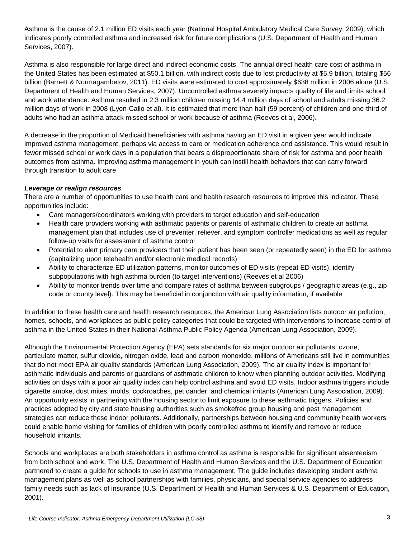Asthma is the cause of 2.1 million ED visits each year (National Hospital Ambulatory Medical Care Survey, 2009), which indicates poorly controlled asthma and increased risk for future complications (U.S. Department of Health and Human Services, 2007).

Asthma is also responsible for large direct and indirect economic costs. The annual direct health care cost of asthma in the United States has been estimated at \$50.1 billion, with indirect costs due to lost productivity at \$5.9 billion, totaling \$56 billion (Barnett & Nurmagambetov, 2011). ED visits were estimated to cost approximately \$638 million in 2006 alone (U.S. Department of Health and Human Services, 2007). Uncontrolled asthma severely impacts quality of life and limits school and work attendance. Asthma resulted in 2.3 million children missing 14.4 million days of school and adults missing 36.2 million days of work in 2008 (Lyon-Callo et al). It is estimated that more than half (59 percent) of children and one-third of adults who had an asthma attack missed school or work because of asthma (Reeves et al, 2006).

A decrease in the proportion of Medicaid beneficiaries with asthma having an ED visit in a given year would indicate improved asthma management, perhaps via access to care or medication adherence and assistance. This would result in fewer missed school or work days in a population that bears a disproportionate share of risk for asthma and poor health outcomes from asthma. Improving asthma management in youth can instill health behaviors that can carry forward through transition to adult care.

#### *Leverage or realign resources*

There are a number of opportunities to use health care and health research resources to improve this indicator. These opportunities include:

- Care managers/coordinators working with providers to target education and self-education
- Health care providers working with asthmatic patients or parents of asthmatic children to create an asthma management plan that includes use of preventer, reliever, and symptom controller medications as well as regular follow-up visits for assessment of asthma control
- Potential to alert primary care providers that their patient has been seen (or repeatedly seen) in the ED for asthma (capitalizing upon telehealth and/or electronic medical records)
- Ability to characterize ED utilization patterns, monitor outcomes of ED visits (repeat ED visits), identify subpopulations with high asthma burden (to target interventions) (Reeves et al 2006)
- Ability to monitor trends over time and compare rates of asthma between subgroups / geographic areas (e.g., zip code or county level). This may be beneficial in conjunction with air quality information, if available

In addition to these health care and health research resources, the American Lung Association lists outdoor air pollution, homes, schools, and workplaces as public policy categories that could be targeted with interventions to increase control of asthma in the United States in their National Asthma Public Policy Agenda (American Lung Association, 2009).

Although the Environmental Protection Agency (EPA) sets standards for six major outdoor air pollutants: ozone, particulate matter, sulfur dioxide, nitrogen oxide, lead and carbon monoxide, millions of Americans still live in communities that do not meet EPA air quality standards (American Lung Association, 2009). The air quality index is important for asthmatic individuals and parents or guardians of asthmatic children to know when planning outdoor activities. Modifying activities on days with a poor air quality index can help control asthma and avoid ED visits. Indoor asthma triggers include cigarette smoke, dust mites, molds, cockroaches, pet dander, and chemical irritants (American Lung Association, 2009). An opportunity exists in partnering with the housing sector to limit exposure to these asthmatic triggers. Policies and practices adopted by city and state housing authorities such as smokefree group housing and pest management strategies can reduce these indoor pollutants. Additionally, partnerships between housing and community health workers could enable home visiting for families of children with poorly controlled asthma to identify and remove or reduce household irritants.

Schools and workplaces are both stakeholders in asthma control as asthma is responsible for significant absenteeism from both school and work. The U.S. Department of Health and Human Services and the U.S. Department of Education partnered to create a guide for schools to use in asthma management. The guide includes developing student asthma management plans as well as school partnerships with families, physicians, and special service agencies to address family needs such as lack of insurance (U.S. Department of Health and Human Services & U.S. Department of Education, 2001).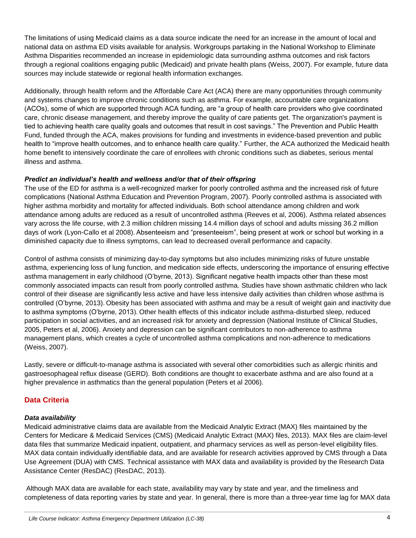The limitations of using Medicaid claims as a data source indicate the need for an increase in the amount of local and national data on asthma ED visits available for analysis. Workgroups partaking in the National Workshop to Eliminate Asthma Disparities recommended an increase in epidemiologic data surrounding asthma outcomes and risk factors through a regional coalitions engaging public (Medicaid) and private health plans (Weiss, 2007). For example, future data sources may include statewide or regional health information exchanges.

Additionally, through health reform and the Affordable Care Act (ACA) there are many opportunities through community and systems changes to improve chronic conditions such as asthma. For example, accountable care organizations (ACOs), some of which are supported through ACA funding, are "a group of health care providers who give coordinated care, chronic disease management, and thereby improve the quality of care patients get. The organization's payment is tied to achieving health care quality goals and outcomes that result in cost savings." The Prevention and Public Health Fund, funded through the ACA, makes provisions for funding and investments in evidence-based prevention and public health to "improve health outcomes, and to enhance health care quality." Further, the ACA authorized the Medicaid health home benefit to intensively coordinate the care of enrollees with chronic conditions such as diabetes, serious mental illness and asthma.

#### *Predict an individual's health and wellness and/or that of their offspring*

The use of the ED for asthma is a well-recognized marker for poorly controlled asthma and the increased risk of future complications (National Asthma Education and Prevention Program, 2007). Poorly controlled asthma is associated with higher asthma morbidity and mortality for affected individuals. Both school attendance among children and work attendance among adults are reduced as a result of uncontrolled asthma (Reeves et al, 2006). Asthma related absences vary across the life course, with 2.3 million children missing 14.4 million days of school and adults missing 36.2 million days of work (Lyon-Callo et al 2008). Absenteeism and "presenteeism", being present at work or school but working in a diminished capacity due to illness symptoms, can lead to decreased overall performance and capacity.

Control of asthma consists of minimizing day-to-day symptoms but also includes minimizing risks of future unstable asthma, experiencing loss of lung function, and medication side effects, underscoring the importance of ensuring effective asthma management in early childhood (O'byrne, 2013). Significant negative health impacts other than these most commonly associated impacts can result from poorly controlled asthma. Studies have shown asthmatic children who lack control of their disease are significantly less active and have less intensive daily activities than children whose asthma is controlled (O'byrne, 2013). Obesity has been associated with asthma and may be a result of weight gain and inactivity due to asthma symptoms (O'byrne, 2013). Other health effects of this indicator include asthma-disturbed sleep, reduced participation in social activities, and an increased risk for anxiety and depression (National Institute of Clinical Studies, 2005, Peters et al, 2006). Anxiety and depression can be significant contributors to non-adherence to asthma management plans, which creates a cycle of uncontrolled asthma complications and non-adherence to medications (Weiss, 2007).

Lastly, severe or difficult-to-manage asthma is associated with several other comorbidities such as allergic rhinitis and gastroesophageal reflux disease (GERD). Both conditions are thought to exacerbate asthma and are also found at a higher prevalence in asthmatics than the general population (Peters et al 2006).

# **Data Criteria**

#### *Data availability*

Medicaid administrative claims data are available from the Medicaid Analytic Extract (MAX) files maintained by the Centers for Medicare & Medicaid Services (CMS) (Medicaid Analytic Extract (MAX) files, 2013). MAX files are claim-level data files that summarize Medicaid inpatient, outpatient, and pharmacy services as well as person-level eligibility files. MAX data contain individually identifiable data, and are available for research activities approved by CMS through a Data Use Agreement (DUA) with CMS. Technical assistance with MAX data and availability is provided by the Research Data Assistance Center (ResDAC) (ResDAC, 2013).

Although MAX data are available for each state, availability may vary by state and year, and the timeliness and completeness of data reporting varies by state and year. In general, there is more than a three-year time lag for MAX data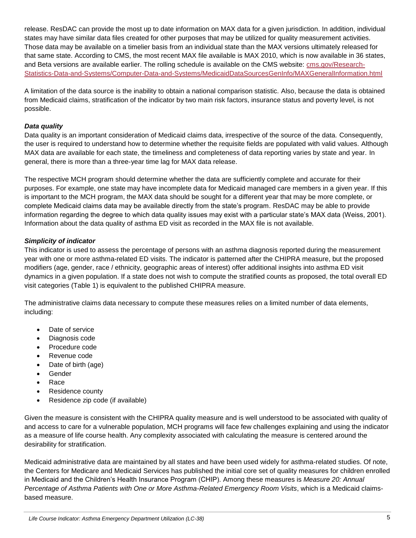release. ResDAC can provide the most up to date information on MAX data for a given jurisdiction. In addition, individual states may have similar data files created for other purposes that may be utilized for quality measurement activities. Those data may be available on a timelier basis from an individual state than the MAX versions ultimately released for that same state. According to CMS, the most recent MAX file available is MAX 2010, which is now available in 36 states, and Beta versions are available earlier. The rolling schedule is available on the CMS website: [cms.gov/Research-](http://www.cms.gov/Research-Statistics-Data-and-Systems/Computer-Data-and-Systems/MedicaidDataSourcesGenInfo/MAXGeneralInformation.html)[Statistics-Data-and-Systems/Computer-Data-and-Systems/MedicaidDataSourcesGenInfo/MAXGeneralInformation.html](http://www.cms.gov/Research-Statistics-Data-and-Systems/Computer-Data-and-Systems/MedicaidDataSourcesGenInfo/MAXGeneralInformation.html)

A limitation of the data source is the inability to obtain a national comparison statistic. Also, because the data is obtained from Medicaid claims, stratification of the indicator by two main risk factors, insurance status and poverty level, is not possible.

#### *Data quality*

Data quality is an important consideration of Medicaid claims data, irrespective of the source of the data. Consequently, the user is required to understand how to determine whether the requisite fields are populated with valid values. Although MAX data are available for each state, the timeliness and completeness of data reporting varies by state and year. In general, there is more than a three-year time lag for MAX data release.

The respective MCH program should determine whether the data are sufficiently complete and accurate for their purposes. For example, one state may have incomplete data for Medicaid managed care members in a given year. If this is important to the MCH program, the MAX data should be sought for a different year that may be more complete, or complete Medicaid claims data may be available directly from the state's program. ResDAC may be able to provide information regarding the degree to which data quality issues may exist with a particular state's MAX data (Weiss, 2001). Information about the data quality of asthma ED visit as recorded in the MAX file is not available.

#### *Simplicity of indicator*

This indicator is used to assess the percentage of persons with an asthma diagnosis reported during the measurement year with one or more asthma-related ED visits. The indicator is patterned after the CHIPRA measure, but the proposed modifiers (age, gender, race / ethnicity, geographic areas of interest) offer additional insights into asthma ED visit dynamics in a given population. If a state does not wish to compute the stratified counts as proposed, the total overall ED visit categories (Table 1) is equivalent to the published CHIPRA measure.

The administrative claims data necessary to compute these measures relies on a limited number of data elements, including:

- Date of service
- Diagnosis code
- Procedure code
- Revenue code
- Date of birth (age)
- Gender
- Race
- Residence county
- Residence zip code (if available)

Given the measure is consistent with the CHIPRA quality measure and is well understood to be associated with quality of and access to care for a vulnerable population, MCH programs will face few challenges explaining and using the indicator as a measure of life course health. Any complexity associated with calculating the measure is centered around the desirability for stratification.

Medicaid administrative data are maintained by all states and have been used widely for asthma-related studies. Of note, the Centers for Medicare and Medicaid Services has published the initial core set of quality measures for children enrolled in Medicaid and the Children's Health Insurance Program (CHIP). Among these measures is *Measure 20: Annual Percentage of Asthma Patients with One or More Asthma-Related Emergency Room Visits*, which is a Medicaid claimsbased measure.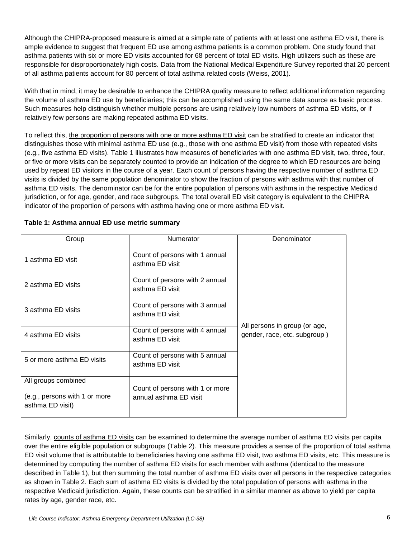Although the CHIPRA-proposed measure is aimed at a simple rate of patients with at least one asthma ED visit, there is ample evidence to suggest that frequent ED use among asthma patients is a common problem. One study found that asthma patients with six or more ED visits accounted for 68 percent of total ED visits. High utilizers such as these are responsible for disproportionately high costs. Data from the National Medical Expenditure Survey reported that 20 percent of all asthma patients account for 80 percent of total asthma related costs (Weiss, 2001).

With that in mind, it may be desirable to enhance the CHIPRA quality measure to reflect additional information regarding the volume of asthma ED use by beneficiaries; this can be accomplished using the same data source as basic process. Such measures help distinguish whether multiple persons are using relatively low numbers of asthma ED visits, or if relatively few persons are making repeated asthma ED visits.

To reflect this, the proportion of persons with one or more asthma ED visit can be stratified to create an indicator that distinguishes those with minimal asthma ED use (e.g., those with one asthma ED visit) from those with repeated visits (e.g., five asthma ED visits). Table 1 illustrates how measures of beneficiaries with one asthma ED visit, two, three, four, or five or more visits can be separately counted to provide an indication of the degree to which ED resources are being used by repeat ED visitors in the course of a year. Each count of persons having the respective number of asthma ED visits is divided by the same population denominator to show the fraction of persons with asthma with that number of asthma ED visits. The denominator can be for the entire population of persons with asthma in the respective Medicaid jurisdiction, or for age, gender, and race subgroups. The total overall ED visit category is equivalent to the CHIPRA indicator of the proportion of persons with asthma having one or more asthma ED visit.

| Group                                             | Numerator                                                 | Denominator                                                   |
|---------------------------------------------------|-----------------------------------------------------------|---------------------------------------------------------------|
| 1 asthma ED visit                                 | Count of persons with 1 annual<br>asthma ED visit         |                                                               |
| 2 asthma ED visits                                | Count of persons with 2 annual<br>asthma ED visit         |                                                               |
| 3 asthma ED visits                                | Count of persons with 3 annual<br>asthma ED visit         |                                                               |
| 4 asthma ED visits                                | Count of persons with 4 annual<br>asthma ED visit         | All persons in group (or age,<br>gender, race, etc. subgroup) |
| 5 or more asthma ED visits                        | Count of persons with 5 annual<br>asthma ED visit         |                                                               |
| All groups combined                               |                                                           |                                                               |
| (e.g., persons with 1 or more<br>asthma ED visit) | Count of persons with 1 or more<br>annual asthma ED visit |                                                               |

| Table 1: Asthma annual ED use metric summary |  |  |
|----------------------------------------------|--|--|
|----------------------------------------------|--|--|

Similarly, counts of asthma ED visits can be examined to determine the average number of asthma ED visits per capita over the entire eligible population or subgroups (Table 2). This measure provides a sense of the proportion of total asthma ED visit volume that is attributable to beneficiaries having one asthma ED visit, two asthma ED visits, etc. This measure is determined by computing the number of asthma ED visits for each member with asthma (identical to the measure described in Table 1), but then summing the total number of asthma ED visits over all persons in the respective categories as shown in Table 2. Each sum of asthma ED visits is divided by the total population of persons with asthma in the respective Medicaid jurisdiction. Again, these counts can be stratified in a similar manner as above to yield per capita rates by age, gender race, etc.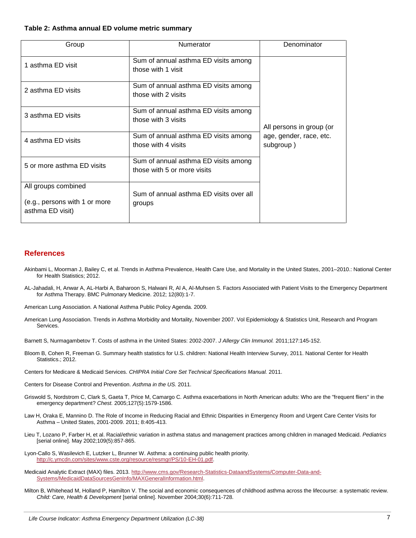#### **Table 2: Asthma annual ED volume metric summary**

| Group                                                                    | Numerator                                                           | Denominator                          |
|--------------------------------------------------------------------------|---------------------------------------------------------------------|--------------------------------------|
| 1 asthma ED visit                                                        | Sum of annual asthma ED visits among<br>those with 1 visit          |                                      |
| 2 asthma ED visits                                                       | Sum of annual asthma ED visits among<br>those with 2 visits         |                                      |
| 3 asthma ED visits                                                       | Sum of annual asthma ED visits among<br>those with 3 visits         | All persons in group (or             |
| 4 asthma ED visits                                                       | Sum of annual asthma ED visits among<br>those with 4 visits         | age, gender, race, etc.<br>subgroup) |
| 5 or more asthma ED visits                                               | Sum of annual asthma ED visits among<br>those with 5 or more visits |                                      |
| All groups combined<br>(e.g., persons with 1 or more<br>asthma ED visit) | Sum of annual asthma ED visits over all<br>groups                   |                                      |

#### **References**

- Akinbami L, Moorman J, Bailey C, et al. Trends in Asthma Prevalence, Health Care Use, and Mortality in the United States, 2001–2010.: National Center for Health Statistics; 2012.
- AL-Jahadali, H, Anwar A, AL-Harbi A, Baharoon S, Halwani R, Al A, Al-Muhsen S. Factors Associated with Patient Visits to the Emergency Department for Asthma Therapy. BMC Pulmonary Medicine. 2012; 12(80):1-7.

American Lung Association. A National Asthma Public Policy Agenda. 2009.

- American Lung Association. Trends in Asthma Morbidity and Mortality, November 2007. Vol Epidemiology & Statistics Unit, Research and Program Services.
- Barnett S, Nurmagambetov T. Costs of asthma in the United States: 2002-2007. *J Allergy Clin Immunol.* 2011;127:145-152.
- Bloom B, Cohen R, Freeman G. Summary health statistics for U.S. children: National Health Interview Survey, 2011. National Center for Health Statistics.; 2012.
- Centers for Medicare & Medicaid Services. *CHIPRA Initial Core Set Technical Specifications Manual.* 2011.
- Centers for Disease Control and Prevention. *Asthma in the US.* 2011.
- Griswold S, Nordstrom C, Clark S, Gaeta T, Price M, Camargo C. Asthma exacerbations in North American adults: Who are the "frequent fliers" in the emergency department? *Chest.* 2005;127(5):1579-1586.
- Law H, Oraka E, Mannino D. The Role of Income in Reducing Racial and Ethnic Disparities in Emergency Room and Urgent Care Center Visits for Asthma – United States, 2001-2009. 2011; 8:405-413.
- Lieu T, Lozano P, Farber H, et al. Racial/ethnic variation in asthma status and management practices among children in managed Medicaid. *Pediatrics* [serial online]. May 2002;109(5):857-865.
- Lyon-Callo S, Wasilevich E, Lutzker L, Brunner W. Asthma: a continuing public health priority. [http://c.ymcdn.com/sites/www.cste.org/resource/resmgr/PS/10-EH-01.pdf.](http://c.ymcdn.com/sites/www.cste.org/resource/resmgr/PS/10-EH-01.pdf)
- Medicaid Analytic Extract (MAX) files. 2013[. http://www.cms.gov/Research-Statistics-DataandSystems/Computer-Data-and-](http://www.cms.gov/Research-Statistics-DataandSystems/Computer-Data-and-Systems/MedicaidDataSourcesGenInfo/MAXGeneralInformation.html)[Systems/MedicaidDataSourcesGenInfo/MAXGeneralInformation.html.](http://www.cms.gov/Research-Statistics-DataandSystems/Computer-Data-and-Systems/MedicaidDataSourcesGenInfo/MAXGeneralInformation.html)
- Milton B, Whitehead M, Holland P, Hamilton V. The social and economic consequences of childhood asthma across the lifecourse: a systematic review. *Child: Care, Health & Development* [serial online]. November 2004;30(6):711-728.